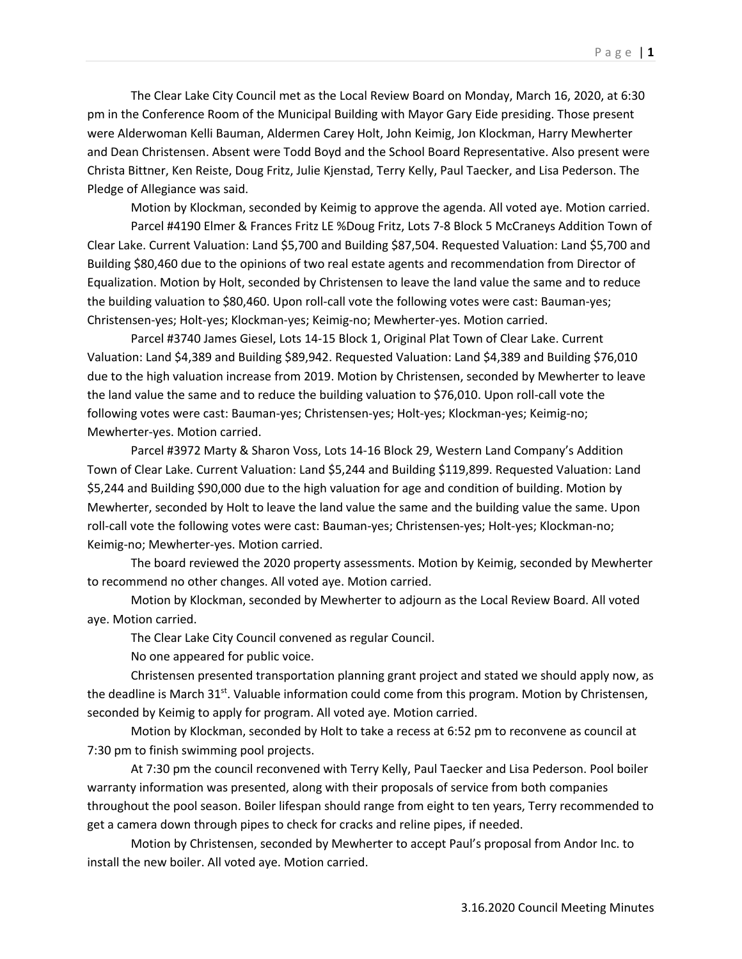The Clear Lake City Council met as the Local Review Board on Monday, March 16, 2020, at 6:30 pm in the Conference Room of the Municipal Building with Mayor Gary Eide presiding. Those present were Alderwoman Kelli Bauman, Aldermen Carey Holt, John Keimig, Jon Klockman, Harry Mewherter and Dean Christensen. Absent were Todd Boyd and the School Board Representative. Also present were Christa Bittner, Ken Reiste, Doug Fritz, Julie Kjenstad, Terry Kelly, Paul Taecker, and Lisa Pederson. The Pledge of Allegiance was said.

Motion by Klockman, seconded by Keimig to approve the agenda. All voted aye. Motion carried.

Parcel #4190 Elmer & Frances Fritz LE %Doug Fritz, Lots 7-8 Block 5 McCraneys Addition Town of Clear Lake. Current Valuation: Land \$5,700 and Building \$87,504. Requested Valuation: Land \$5,700 and Building \$80,460 due to the opinions of two real estate agents and recommendation from Director of Equalization. Motion by Holt, seconded by Christensen to leave the land value the same and to reduce the building valuation to \$80,460. Upon roll-call vote the following votes were cast: Bauman-yes; Christensen-yes; Holt-yes; Klockman-yes; Keimig-no; Mewherter-yes. Motion carried.

Parcel #3740 James Giesel, Lots 14-15 Block 1, Original Plat Town of Clear Lake. Current Valuation: Land \$4,389 and Building \$89,942. Requested Valuation: Land \$4,389 and Building \$76,010 due to the high valuation increase from 2019. Motion by Christensen, seconded by Mewherter to leave the land value the same and to reduce the building valuation to \$76,010. Upon roll-call vote the following votes were cast: Bauman-yes; Christensen-yes; Holt-yes; Klockman-yes; Keimig-no; Mewherter-yes. Motion carried.

Parcel #3972 Marty & Sharon Voss, Lots 14-16 Block 29, Western Land Company's Addition Town of Clear Lake. Current Valuation: Land \$5,244 and Building \$119,899. Requested Valuation: Land \$5,244 and Building \$90,000 due to the high valuation for age and condition of building. Motion by Mewherter, seconded by Holt to leave the land value the same and the building value the same. Upon roll-call vote the following votes were cast: Bauman-yes; Christensen-yes; Holt-yes; Klockman-no; Keimig-no; Mewherter-yes. Motion carried.

The board reviewed the 2020 property assessments. Motion by Keimig, seconded by Mewherter to recommend no other changes. All voted aye. Motion carried.

Motion by Klockman, seconded by Mewherter to adjourn as the Local Review Board. All voted aye. Motion carried.

The Clear Lake City Council convened as regular Council.

No one appeared for public voice.

Christensen presented transportation planning grant project and stated we should apply now, as the deadline is March  $31^{st}$ . Valuable information could come from this program. Motion by Christensen, seconded by Keimig to apply for program. All voted aye. Motion carried.

Motion by Klockman, seconded by Holt to take a recess at 6:52 pm to reconvene as council at 7:30 pm to finish swimming pool projects.

At 7:30 pm the council reconvened with Terry Kelly, Paul Taecker and Lisa Pederson. Pool boiler warranty information was presented, along with their proposals of service from both companies throughout the pool season. Boiler lifespan should range from eight to ten years, Terry recommended to get a camera down through pipes to check for cracks and reline pipes, if needed.

Motion by Christensen, seconded by Mewherter to accept Paul's proposal from Andor Inc. to install the new boiler. All voted aye. Motion carried.